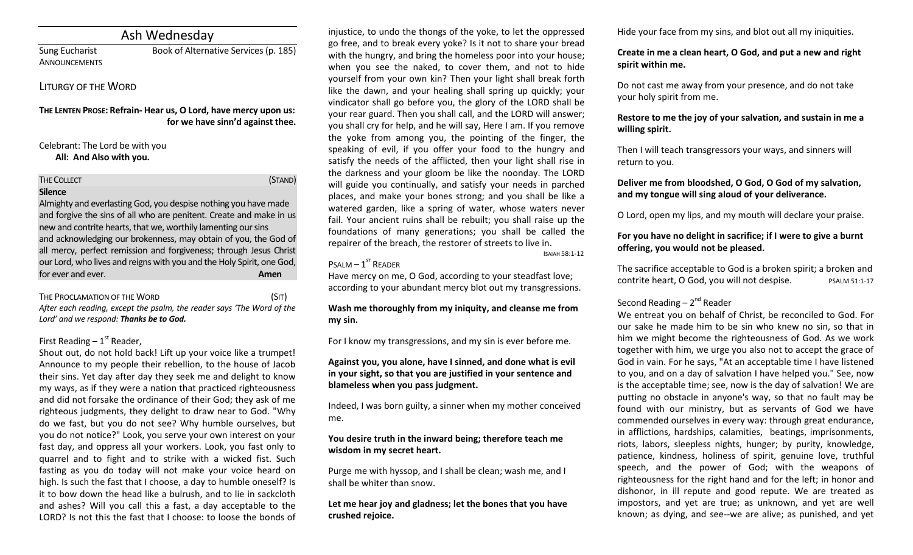# Ash Wednesday

**ANNOUNCEMENTS** 

Sung Eucharist Book of Alternative Services (p. 185)

## LITURGY OF THE WORD

**THE LENTEN PROSE: Refrain- Hear us, O Lord, have mercy upon us: for we have sinn'd against thee.** 

### Celebrant: The Lord be with you **All: And Also with you.**

THE COLLECT **THE COLLECT COLLECT COLLECT COLLECT COLLECT COLLECT COLLECT COLLECT COLLECT COLLECT** 

### **Silence**

Almighty and everlasting God, you despise nothing you have made and forgive the sins of all who are penitent. Create and make in us new and contrite hearts, that we, worthily lamenting our sins and acknowledging our brokenness, may obtain of you, the God of all mercy, perfect remission and forgiveness; through Jesus Christ our Lord, who lives and reigns with you and the Holy Spirit, one God, for ever and ever. **Amen**

### THE PROCLAMATION OF THE WORD (SIT)

*After each reading, except the psalm, the reader says 'The Word of the Lord' and we respond: Thanks be to God.* 

## First Reading  $-1<sup>st</sup>$  Reader,

Shout out, do not hold back! Lift up your voice like a trumpet! Announce to my people their rebellion, to the house of Jacob their sins. Yet day after day they seek me and delight to know my ways, as if they were a nation that practiced righteousness and did not forsake the ordinance of their God; they ask of me righteous judgments, they delight to draw near to God. "Why do we fast, but you do not see? Why humble ourselves, but you do not notice?" Look, you serve your own interest on your fast day, and oppress all your workers. Look, you fast only to quarrel and to fight and to strike with a wicked fist. Such fasting as you do today will not make your voice heard on high. Is such the fast that I choose, a day to humble oneself? Is it to bow down the head like a bulrush, and to lie in sackcloth and ashes? Will you call this a fast, a day acceptable to the LORD? Is not this the fast that I choose: to loose the bonds of

injustice, to undo the thongs of the yoke, to let the oppressed go free, and to break every yoke? Is it not to share your bread with the hungry, and bring the homeless poor into your house; when you see the naked, to cover them, and not to hide yourself from your own kin? Then your light shall break forth like the dawn, and your healing shall spring up quickly; your vindicator shall go before you, the glory of the LORD shall be your rear guard. Then you shall call, and the LORD will answer; you shall cry for help, and he will say, Here I am. If you remove the yoke from among you, the pointing of the finger, the speaking of evil, if you offer your food to the hungry and satisfy the needs of the afflicted, then your light shall rise in the darkness and your gloom be like the noonday. The LORD will guide you continually, and satisfy your needs in parched places, and make your bones strong; and you shall be like a watered garden, like a spring of water, whose waters never fail. Your ancient ruins shall be rebuilt; you shall raise up the foundations of many generations; you shall be called the repairer of the breach, the restorer of streets to live in. ISAIAH 58:1-12

# $P$ SALM  $-1$ <sup>ST</sup> READER

Have mercy on me, O God, according to your steadfast love; according to your abundant mercy blot out my transgressions.

## **Wash me thoroughly from my iniquity, and cleanse me from my sin.**

For I know my transgressions, and my sin is ever before me.

## **Against you, you alone, have I sinned, and done what is evil in your sight, so that you are justified in your sentence and blameless when you pass judgment.**

Indeed, I was born guilty, a sinner when my mother conceived me.

## **You desire truth in the inward being; therefore teach me wisdom in my secret heart.**

Purge me with hyssop, and I shall be clean; wash me, and I shall be whiter than snow.

**Let me hear joy and gladness; let the bones that you have crushed rejoice.**

Hide your face from my sins, and blot out all my iniquities.

## **Create in me a clean heart, O God, and put a new and right spirit within me.**

Do not cast me away from your presence, and do not take your holy spirit from me.

## **Restore to me the joy of your salvation, and sustain in me a willing spirit.**

Then I will teach transgressors your ways, and sinners will return to you.

## **Deliver me from bloodshed, O God, O God of my salvation, and my tongue will sing aloud of your deliverance.**

O Lord, open my lips, and my mouth will declare your praise.

## **For you have no delight in sacrifice; if I were to give a burnt offering, you would not be pleased.**

The sacrifice acceptable to God is a broken spirit; a broken and contrite heart, O God, you will not despise. PSALM 51:1-17

## Second Reading – 2<sup>nd</sup> Reader

We entreat you on behalf of Christ, be reconciled to God. For our sake he made him to be sin who knew no sin, so that in him we might become the righteousness of God. As we work together with him, we urge you also not to accept the grace of God in vain. For he says, "At an acceptable time I have listened to you, and on a day of salvation I have helped you." See, now is the acceptable time; see, now is the day of salvation! We are putting no obstacle in anyone's way, so that no fault may be found with our ministry, but as servants of God we have commended ourselves in every way: through great endurance, in afflictions, hardships, calamities, beatings, imprisonments, riots, labors, sleepless nights, hunger; by purity, knowledge, patience, kindness, holiness of spirit, genuine love, truthful speech, and the power of God; with the weapons of righteousness for the right hand and for the left; in honor and dishonor, in ill repute and good repute. We are treated as impostors, and yet are true; as unknown, and yet are well known; as dying, and see--we are alive; as punished, and yet